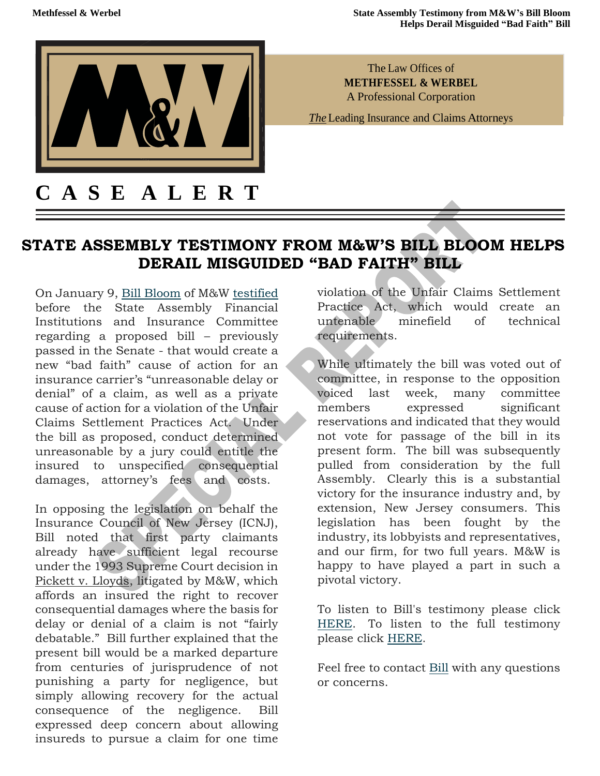

The Law Offices of **METHFESSEL & WERBEL**  A Professional Corporation

*The* Leading Insurance and Claims Attorneys

## **STATE ASSEMBLY TESTIMONY FROM M&W'S BILL BLOOM HELPS DERAIL MISGUIDED "BAD FAITH" BILL**

On January 9, [Bill Bloom](https://urldefense.proofpoint.com/v2/url?u=https-3A__methwerb.us6.list-2Dmanage.com_track_click-3Fu-3D84a2c784f6bde978aee3f5720-26id-3De017698c46-26e-3D7d389a1552&d=DwMFaQ&c=euGZstcaTDllvimEN8b7jXrwqOf-v5A_CdpgnVfiiMM&r=xvIUgkpSXZLs0pBZ-uo1hTVaw7XTRGOu2Mx2ILReXWc&m=fIy8QLc2egtOBMJDvf_B_gGCMaD5QpvT30qLEsSfPRA&s=kSW9H_RFiiI_Anmvmdqw623-g8YlD1LoiMAr0diS9SQ&e=) of M&W [testified](https://urldefense.proofpoint.com/v2/url?u=https-3A__methwerb.us6.list-2Dmanage.com_track_click-3Fu-3D84a2c784f6bde978aee3f5720-26id-3D1ea7acd673-26e-3D7d389a1552&d=DwMFaQ&c=euGZstcaTDllvimEN8b7jXrwqOf-v5A_CdpgnVfiiMM&r=xvIUgkpSXZLs0pBZ-uo1hTVaw7XTRGOu2Mx2ILReXWc&m=fIy8QLc2egtOBMJDvf_B_gGCMaD5QpvT30qLEsSfPRA&s=hZ6pYcDmWkGcXWL-A6clOLW2PhsMnMB7aLArFgA_S64&e=) before the State Assembly Financial Institutions and Insurance Committee regarding a proposed bill – previously passed in the Senate - that would create a new "bad faith" cause of action for an insurance carrier's "unreasonable delay or denial" of a claim, as well as a private cause of action for a violation of the Unfair Claims Settlement Practices Act. Under the bill as proposed, conduct determined unreasonable by a jury could entitle the insured to unspecified consequential damages, attorney's fees and costs.

In opposing the legislation on behalf the Insurance Council of New Jersey (ICNJ), Bill noted that first party claimants already have sufficient legal recourse under the 1993 Supreme Court decision in Pickett v. Lloyds, litigated by M&W, which affords an insured the right to recover consequential damages where the basis for delay or denial of a claim is not "fairly debatable." Bill further explained that the present bill would be a marked departure from centuries of jurisprudence of not punishing a party for negligence, but simply allowing recovery for the actual consequence of the negligence. Bill expressed deep concern about allowing insureds to pursue a claim for one time

violation of the Unfair Claims Settlement Practice Act, which would create an untenable minefield of technical requirements.

While ultimately the bill was voted out of committee, in response to the opposition voiced last week, many committee members expressed significant reservations and indicated that they would not vote for passage of the bill in its present form. The bill was subsequently pulled from consideration by the full Assembly. Clearly this is a substantial victory for the insurance industry and, by extension, New Jersey consumers. This legislation has been fought by the industry, its lobbyists and representatives, and our firm, for two full years. M&W is happy to have played a part in such a pivotal victory.

To listen to Bill's testimony please click [HERE.](https://urldefense.proofpoint.com/v2/url?u=https-3A__methwerb.us6.list-2Dmanage.com_track_click-3Fu-3D84a2c784f6bde978aee3f5720-26id-3D6bf3784645-26e-3D7d389a1552&d=DwMFaQ&c=euGZstcaTDllvimEN8b7jXrwqOf-v5A_CdpgnVfiiMM&r=xvIUgkpSXZLs0pBZ-uo1hTVaw7XTRGOu2Mx2ILReXWc&m=fIy8QLc2egtOBMJDvf_B_gGCMaD5QpvT30qLEsSfPRA&s=epoSLTegYfhOaOcHhzCI5IqUd0LEAbVJTjS1kS8OmvU&e=) To listen to the full testimony please click [HERE.](https://urldefense.proofpoint.com/v2/url?u=https-3A__methwerb.us6.list-2Dmanage.com_track_click-3Fu-3D84a2c784f6bde978aee3f5720-26id-3D1bdc03be13-26e-3D7d389a1552&d=DwMFaQ&c=euGZstcaTDllvimEN8b7jXrwqOf-v5A_CdpgnVfiiMM&r=xvIUgkpSXZLs0pBZ-uo1hTVaw7XTRGOu2Mx2ILReXWc&m=fIy8QLc2egtOBMJDvf_B_gGCMaD5QpvT30qLEsSfPRA&s=7_RSl91Jz6n047rHNUwG35LuLpM3NzrEj35HHbtsGM0&e=)

Feel free to contact [Bill](mailto:bloom@methwerb.com) with any questions or concerns.